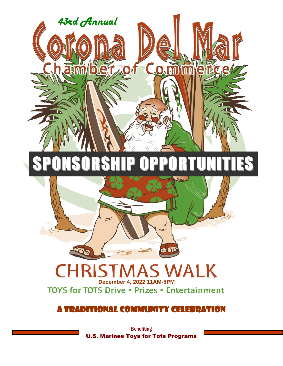

# SPONSORSHIP OPPORTUNITIES



#### **SWALK** L **December 4, 2022 11AM-5PM TOYS for TOTS Drive . Prizes . Entertainment**

### A Traditional Community Celebration

**Benefiting** U.S. Marines Toys for Tots Programs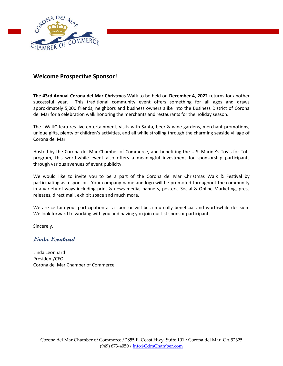

#### **Welcome Prospective Sponsor!**

**The 43rd Annual Corona del Mar Christmas Walk** to be held on **December 4, 2022** returns for another successful year. This traditional community event offers something for all ages and draws approximately 5,000 friends, neighbors and business owners alike into the Business District of Corona del Mar for a celebration walk honoring the merchants and restaurants for the holiday season.

The "Walk" features live entertainment, visits with Santa, beer & wine gardens, merchant promotions, unique gifts, plenty of children's activities, and all while strolling through the charming seaside village of Corona del Mar.

Hosted by the Corona del Mar Chamber of Commerce, and benefiting the U.S. Marine's Toy's-for-Tots program, this worthwhile event also offers a meaningful investment for sponsorship participants through various avenues of event publicity.

We would like to invite you to be a part of the Corona del Mar Christmas Walk & Festival by participating as a sponsor. Your company name and logo will be promoted throughout the community in a variety of ways including print & news media, banners, posters, Social & Online Marketing, press releases, direct mail, exhibit space and much more.

We are certain your participation as a sponsor will be a mutually beneficial and worthwhile decision. We look forward to working with you and having you join our list sponsor participants.

Sincerely,

**Linda Leonhard**

Linda Leonhard President/CEO Corona del Mar Chamber of Commerce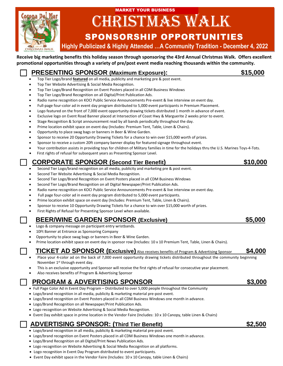

## CHRISTMAS WALK MARKET YOUR BUSINESS

### SPONSORSHIP OPPORTUNITIES

 **Highly Publicized & Highly Attended …A Community Tradition - December 4, 2022**

**Receive big marketing benefits this holiday season through sponsoring the 43rd Annual Christmas Walk. Offers excellent promotional opportunities through a variety of pre/post event media reaching thousands within the community.**

 **PRESENTING SPONSOR (Maximum Exposure): \$15,000** • Top Tier Logo/brand **featured** on all media, publicity and marketing pre & post event. • Top Tier Website Advertising & Social Media Recognition. • Top Tier Logo/Brand Recognition on Event Posters placed in all CDM Business Windows • Top Tier Logo/Brand Recognition on all Digital/Print Publication Ads. • Radio name recognition on KOCI Public Service Announcements Pre-event & live interview on event day. • Full-page four-color ad in event day program distributed to 5,000 event participants in Premium Placement. • Logo featured on the front of 7,000 event opportunity drawing tickets distributed 1 month in advance of event. • Exclusive logo on Event Road Banner placed at Intersection of Coast Hwy & Marguerite 2 weeks prior to event. • Stage Recognition & Script announcement read by all bands periodically throughout the day. • Prime location exhibit space on event day (Includes: Premium Tent, Table, Linen & Chairs). • Opportunity to place swag bags or banners in Beer & Wine Garden. • Sponsor to receive 20 Opportunity Drawing Tickets for a chance to win over \$15,000 worth of prizes. • Sponsor to receive a custom 20ft company banner display for featured signage throughout event. • Your contribution assists in providing toys for children of Military families in time for the holidays thru the U.S. Marines Toys-4-Tots. First rights of refusal for subsequent years as Presenting Sponsor Level.  **CORPORATE SPONSOR (Second Tier Benefit) \$10,000**  • Second Tier Logo/brand recognition on all media, publicity and marketing pre & post event. Second Tier Website Advertising & Social Media Recognition. • Second Tier Logo/Brand Recognition on Event Posters placed in all CDM Business Windows • Second Tier Logo/Brand Recognition on all Digital Newspaper/Print Publication Ads. • Radio name recognition on KOCI Public Service Announcements Pre-event & live interview on event day. Full page four-color ad in event day program distributed to 5,000 event participants. • Prime location exhibit space on event day (Includes: Premium Tent, Table, Linen & Chairs). • Sponsor to receive 10 Opportunity Drawing Tickets for a chance to win over \$15,000 worth of prizes. • First Rights of Refusal for Presenting Sponsor Level when available.  **BEER/WINE GARDEN SPONSOR (Exclusive) \$5,000**  • Logo & company message on participant entry wristbands. 10Ft Banner at Entrance as Sponsoring Company

- Opportunity to place swag bags or banners in Beer & Wine Garden.
- Prime location exhibit space on event day in sponsor row (Includes: 10 x 10 Premium Tent, Table, Linen & Chairs).

#### **TICKET AD SPONSOR (Exclusive)** Also receives benefits of Program & Advertising Sponsor **\$4,000**

- Place your 4-color ad on the back of 7,000 event opportunity drawing tickets distributed throughout the community beginning November 1st through event day.
- This is an exclusive opportunity and Sponsor will receive the first rights of refusal for consecutive year placement.
- Also receives benefits of Program & Advertising Sponsor

#### **PROGRAM & ADVERTISING SPONSOR \$3,000**

- Full Page Color Ad in Event Day Program Distributed to over 5,000 people throughout the Community
- Logo/brand recognition in all media, publicity & marketing material pre-post event.
- Logo/brand recognition on Event Posters placed in all CDM Business Windows one month in advance.
- Logo/Brand Recognition on all Newspaper/Print Publication Ads.
- Logo recognition on Website Advertising & Social Media Recognition.
- Event Day exhibit space in prime location in the Vendor Faire (Includes: 10 x 10 Canopy, table Linen & Chairs)

#### **ADVERTISING SPONSOR: (Third Tier Benefit) \$2,500**

- Logo/brand recognition in all media, publicity & marketing material pre-post event.
- Logo/brand recognition on Event Posters placed in all CDM Business Windows one month in advance.
- Logo/Brand Recognition on all Digital/Print News Publication Ads.
- Logo recognition on Website Advertising & Social Media Recognition on all platforms.
- Logo recognition in Event Day Program distributed to event participants.
- Event Day exhibit space in the Vendor Faire (Includes: 10 x 10 Canopy, table Linen & Chairs)